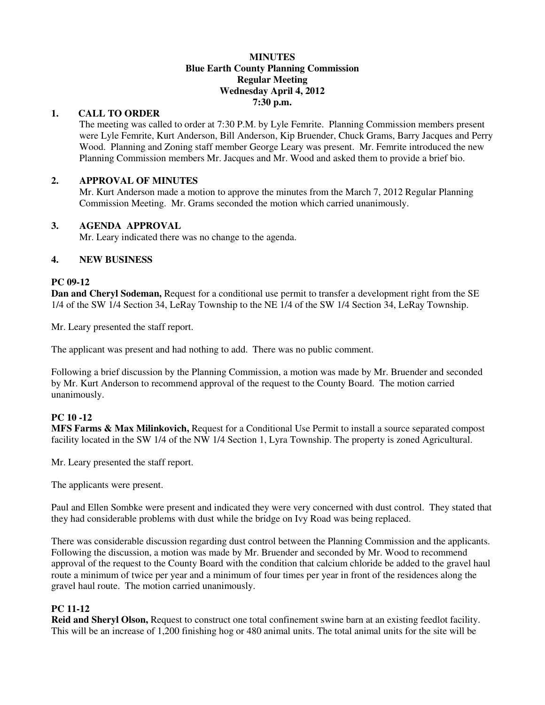#### **MINUTES Blue Earth County Planning Commission Regular Meeting Wednesday April 4, 2012 7:30 p.m.**

#### **1. CALL TO ORDER**

The meeting was called to order at 7:30 P.M. by Lyle Femrite. Planning Commission members present were Lyle Femrite, Kurt Anderson, Bill Anderson, Kip Bruender, Chuck Grams, Barry Jacques and Perry Wood. Planning and Zoning staff member George Leary was present. Mr. Femrite introduced the new Planning Commission members Mr. Jacques and Mr. Wood and asked them to provide a brief bio.

## **2. APPROVAL OF MINUTES**

Mr. Kurt Anderson made a motion to approve the minutes from the March 7, 2012 Regular Planning Commission Meeting. Mr. Grams seconded the motion which carried unanimously.

### **3. AGENDA APPROVAL**

Mr. Leary indicated there was no change to the agenda.

### **4. NEW BUSINESS**

#### **PC 09-12**

**Dan and Cheryl Sodeman,** Request for a conditional use permit to transfer a development right from the SE 1/4 of the SW 1/4 Section 34, LeRay Township to the NE 1/4 of the SW 1/4 Section 34, LeRay Township.

Mr. Leary presented the staff report.

The applicant was present and had nothing to add. There was no public comment.

Following a brief discussion by the Planning Commission, a motion was made by Mr. Bruender and seconded by Mr. Kurt Anderson to recommend approval of the request to the County Board. The motion carried unanimously.

# **PC 10 -12**

**MFS Farms & Max Milinkovich,** Request for a Conditional Use Permit to install a source separated compost facility located in the SW 1/4 of the NW 1/4 Section 1, Lyra Township. The property is zoned Agricultural.

Mr. Leary presented the staff report.

The applicants were present.

Paul and Ellen Sombke were present and indicated they were very concerned with dust control. They stated that they had considerable problems with dust while the bridge on Ivy Road was being replaced.

There was considerable discussion regarding dust control between the Planning Commission and the applicants. Following the discussion, a motion was made by Mr. Bruender and seconded by Mr. Wood to recommend approval of the request to the County Board with the condition that calcium chloride be added to the gravel haul route a minimum of twice per year and a minimum of four times per year in front of the residences along the gravel haul route. The motion carried unanimously.

# **PC 11-12**

**Reid and Sheryl Olson,** Request to construct one total confinement swine barn at an existing feedlot facility. This will be an increase of 1,200 finishing hog or 480 animal units. The total animal units for the site will be